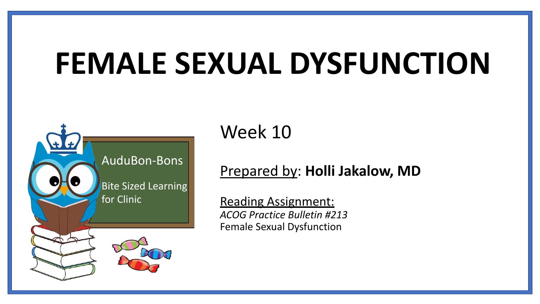# **FEMALE SEXUAL DYSFUNCTION**



Week 10

#### Prepared by: **Holli Jakalow, MD**

Reading Assignment: *ACOG Practice Bulletin #213* Female Sexual Dysfunction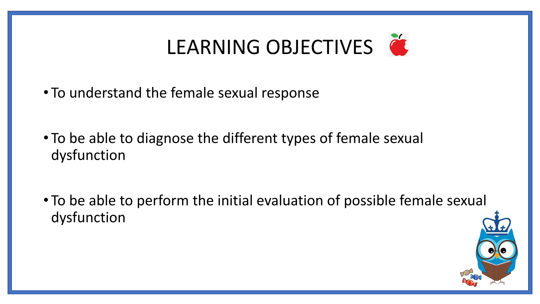# LEARNING OBJECTIVES

- To understand the female sexual response
- To be able to diagnose the different types of female sexual dysfunction
- To be able to perform the initial evaluation of possible female sexual dysfunction

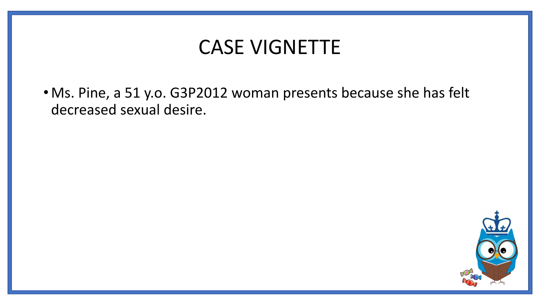## CASE VIGNETTE

• Ms. Pine, a 51 y.o. G3P2012 woman presents because she has felt decreased sexual desire.

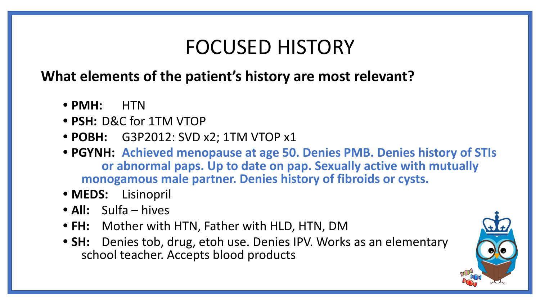## FOCUSED HISTORY

#### **What elements of the patient's history are most relevant?**

- **• PMH:** HTN
- **• PSH:** D&C for 1TM VTOP
- **• POBH:** G3P2012: SVD x2; 1TM VTOP x1
- **• PGYNH: Achieved menopause at age 50. Denies PMB. Denies history of STIs or abnormal paps. Up to date on pap. Sexually active with mutually monogamous male partner. Denies history of fibroids or cysts.**
- **• MEDS:** Lisinopril
- **• All:** Sulfa hives
- **• FH:** Mother with HTN, Father with HLD, HTN, DM
- **• SH:** Denies tob, drug, etoh use. Denies IPV. Works as an elementary school teacher. Accepts blood products

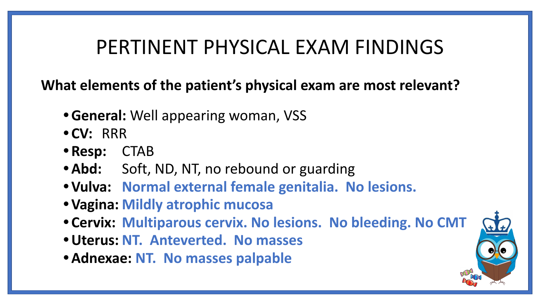## PERTINENT PHYSICAL EXAM FINDINGS

**What elements of the patient's physical exam are most relevant?**

- **•General:** Well appearing woman, VSS
- **• CV:** RRR
- **• Resp:** CTAB
- Abd: Soft, ND, NT, no rebound or guarding
- **• Vulva: Normal external female genitalia. No lesions.**
- **• Vagina: Mildly atrophic mucosa**
- **• Cervix: Multiparous cervix. No lesions. No bleeding. No CMT**
- **•Uterus: NT. Anteverted. No masses**
- **•Adnexae: NT. No masses palpable**

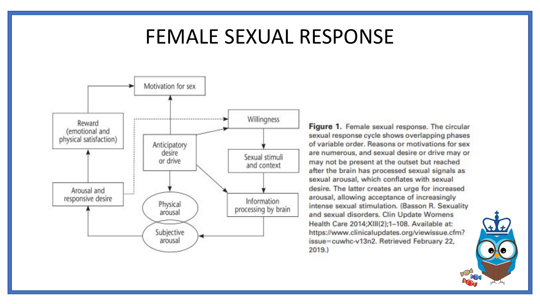## FEMALE SEXUAL RESPONSE



Figure 1. Female sexual response. The circular sexual response cycle shows overlapping phases of variable order. Reasons or motivations for sex are numerous, and sexual desire or drive may or may not be present at the outset but reached after the brain has processed sexual signals as sexual arousal, which conflates with sexual desire. The latter creates an urge for increased arousal, allowing acceptance of increasingly intense sexual stimulation. (Basson R. Sexuality and sexual disorders. Clin Update Womens Health Care 2014;XIII(2);1-108. Available at: https://www.clinicalupdates.org/viewissue.cfm? issue=cuwhc-v13n2. Retrieved February 22,  $2019.$ 

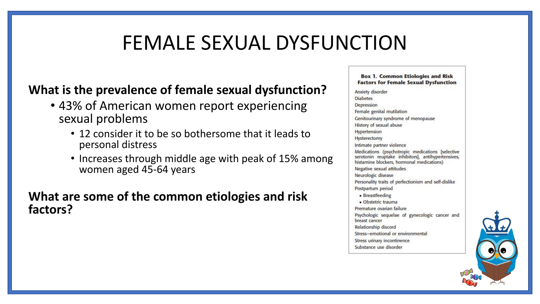## FEMALE SEXUAL DYSFUNCTION

#### **What is the prevalence of female sexual dysfunction?**

- 43% of American women report experiencing sexual problems
	- 12 consider it to be so bothersome that it leads to personal distress
	- Increases through middle age with peak of 15% among women aged 45-64 years

#### **What are some of the common etiologies and risk factors?**

**Box 1. Common Etiologies and Risk Factors for Female Sexual Dysfunction** 

Anxiety disorder **Diabetes** Depression Female genital mutilation Genitourinary syndrome of menopause History of sexual abuse Hypertension Hysterectomy Intimate partner violence Medications (psychotropic medications [selective serotonin reuptake inhibitors], antihypertensives, histamine blockers, hormonal medications) Negative sexual attitudes Neurologic disease Personality traits of perfectionism and self-dislike Postpartum period • Breastfeeding · Obstetric trauma Premature ovarian failure Psychologic sequelae of gynecologic cancer and breast cancer Relationship discord Stress-emotional or environmental Stress urinary incontinence Substance use disorder

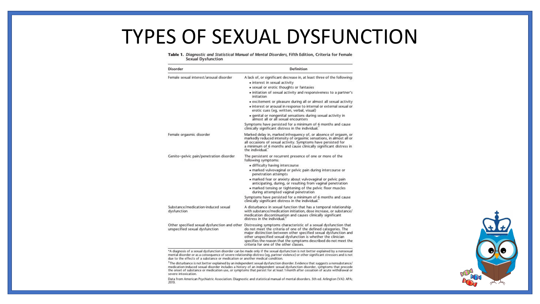## TYPES OF SEXUAL DYSFUNCTION

#### Table 1. Diagnostic and Statistical Manual of Mental Disorders, Fifth Edition, Criteria for Female **Sexual Dysfunction**

| Disorder                                                                       | Definition                                                                                                                                                                                                                                                                                                                                                                            |
|--------------------------------------------------------------------------------|---------------------------------------------------------------------------------------------------------------------------------------------------------------------------------------------------------------------------------------------------------------------------------------------------------------------------------------------------------------------------------------|
| Female sexual interest/arousal disorder                                        | A lack of, or significant decrease in, at least three of the following:                                                                                                                                                                                                                                                                                                               |
|                                                                                | • interest in sexual activity                                                                                                                                                                                                                                                                                                                                                         |
|                                                                                | • sexual or erotic thoughts or fantasies                                                                                                                                                                                                                                                                                                                                              |
|                                                                                | • initiation of sexual activity and responsiveness to a partner's<br><i>initiation</i>                                                                                                                                                                                                                                                                                                |
|                                                                                | • excitement or pleasure during all or almost all sexual activity                                                                                                                                                                                                                                                                                                                     |
|                                                                                | · interest or arousal in response to internal or external sexual or<br>erotic cues (eg, written, verbal, visual)                                                                                                                                                                                                                                                                      |
|                                                                                | · genital or nongenital sensations during sexual activity in<br>almost all or all sexual encounters                                                                                                                                                                                                                                                                                   |
|                                                                                | Symptoms have persisted for a minimum of 6 months and cause<br>clinically significant distress in the individual.                                                                                                                                                                                                                                                                     |
| Female orgasmic disorder                                                       | Marked delay in, marked infrequency of, or absence of orgasm, or<br>markedly reduced intensity of orgasmic sensations, in almost all or<br>all occasions of sexual activity. Symptoms have persisted for<br>a minimum of 6 months and cause clinically significant distress in<br>the individual.                                                                                     |
| Genito-pelvic pain/penetration disorder                                        | The persistent or recurrent presence of one or more of the<br>following symptoms:                                                                                                                                                                                                                                                                                                     |
|                                                                                | · difficulty having intercourse                                                                                                                                                                                                                                                                                                                                                       |
|                                                                                | • marked vulvovaginal or pelvic pain during intercourse or<br>penetration attempts                                                                                                                                                                                                                                                                                                    |
|                                                                                | · marked fear or anxiety about vulvovaginal or pelvic pain<br>anticipating, during, or resulting from vaginal penetration<br>. marked tensing or tightening of the pelvic floor muscles<br>during attempted vaginal penetration                                                                                                                                                       |
|                                                                                | Symptoms have persisted for a minimum of 6 months and cause<br>clinically significant distress in the individual."                                                                                                                                                                                                                                                                    |
| Substance/medication-induced sexual<br>dysfunction                             | A disturbance in sexual function that has a temporal relationship<br>with substance/medication initiation, dose increase, or substance/<br>medication discontinuation and causes clinically significant<br>distress in the individual. <sup>1</sup>                                                                                                                                   |
| Other specified sexual dysfunction and other<br>unspecified sexual dysfunction | Distressing symptoms characteristic of a sexual dysfunction that<br>do not meet the criteria of one of the defined categories. The<br>major distinction between other specified sexual dysfunction and<br>other unspecified sexual dysfunction is whether the clinician<br>specifies the reason that the symptoms described do not meet the<br>criteria for one of the other classes. |

\*A diagnosis of a sexual dysfunction disorder can be made only if the sexual dysfunction is not better explained by a nonsexual mental disorder or as a consequence of severe relationship distress (eg, partner violence) or other significant stressors and is not due to the effects of a substance or medication or another medical condition.

<sup>†</sup>The disturbance is not better explained by an independent sexual dysfunction disorder. Evidence that suggests a nonsubstance/ medication-induced sexual disorder includes a history of an independent sexual dysfunction disorder, symptoms that precede<br>the onset of substance or medication use, or symptoms that persist for at least 1 month after cessa severe intoxication.

Data from American Psychiatric Association. Diagnostic and statistical manual of mental disorders. 5th ed. Arlington (VA): APA; 2013.

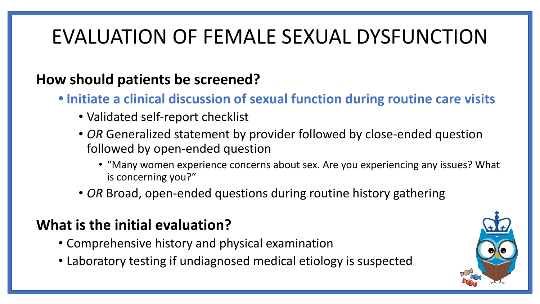## EVALUATION OF FEMALE SEXUAL DYSFUNCTION

#### **How should patients be screened?**

- **• Initiate a clinical discussion of sexual function during routine care visits**
	- Validated self-report checklist
	- *• OR* Generalized statement by provider followed by close-ended question followed by open-ended question
		- "Many women experience concerns about sex. Are you experiencing any issues? What is concerning you?"
	- *• OR* Broad, open-ended questions during routine history gathering

#### **What is the initial evaluation?**

- Comprehensive history and physical examination
- Laboratory testing if undiagnosed medical etiology is suspected

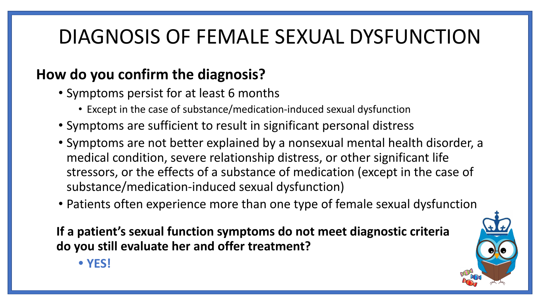## DIAGNOSIS OF FEMALE SEXUAL DYSFUNCTION

### **How do you confirm the diagnosis?**

- Symptoms persist for at least 6 months
	- Except in the case of substance/medication-induced sexual dysfunction
- Symptoms are sufficient to result in significant personal distress
- Symptoms are not better explained by a nonsexual mental health disorder, a medical condition, severe relationship distress, or other significant life stressors, or the effects of a substance of medication (except in the case of substance/medication-induced sexual dysfunction)
- Patients often experience more than one type of female sexual dysfunction

**If a patient's sexual function symptoms do not meet diagnostic criteria do you still evaluate her and offer treatment?** 



**• YES!**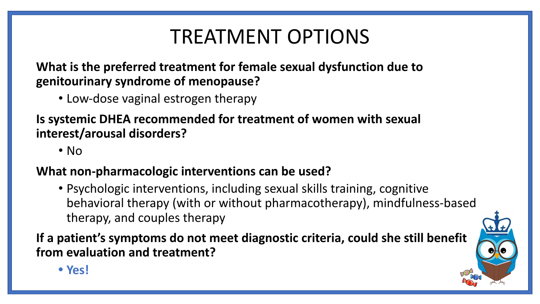## TREATMENT OPTIONS

**What is the preferred treatment for female sexual dysfunction due to genitourinary syndrome of menopause?** 

• Low-dose vaginal estrogen therapy

**Is systemic DHEA recommended for treatment of women with sexual interest/arousal disorders?** 

• No

#### **What non-pharmacologic interventions can be used?**

• Psychologic interventions, including sexual skills training, cognitive behavioral therapy (with or without pharmacotherapy), mindfulness-based therapy, and couples therapy

**If a patient's symptoms do not meet diagnostic criteria, could she still benefit from evaluation and treatment?** 



**• Yes!**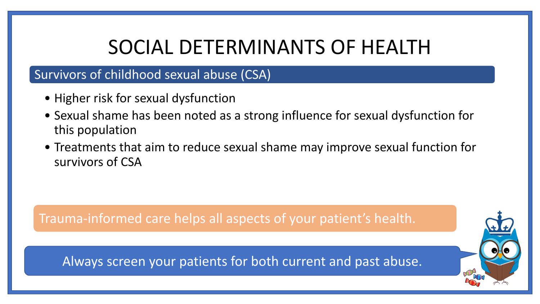## SOCIAL DETERMINANTS OF HEALTH

#### Survivors of childhood sexual abuse (CSA)

- Higher risk for sexual dysfunction
- Sexual shame has been noted as a strong influence for sexual dysfunction for this population
- Treatments that aim to reduce sexual shame may improve sexual function for survivors of CSA

Trauma-informed care helps all aspects of your patient's health.

Always screen your patients for both current and past abuse.

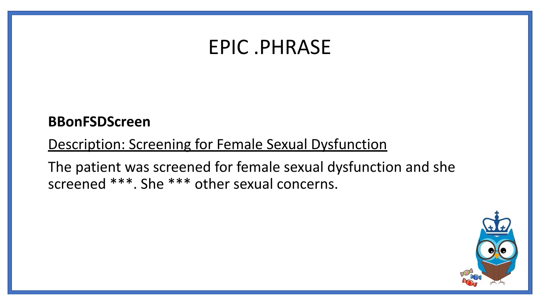## EPIC .PHRASE

#### **BBonFSDScreen**

#### Description: Screening for Female Sexual Dysfunction

The patient was screened for female sexual dysfunction and she screened \*\*\*. She \*\*\* other sexual concerns.

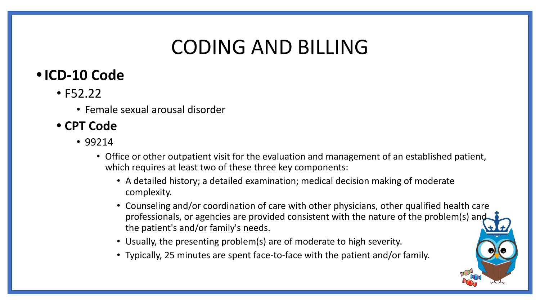## CODING AND BILLING

### **•ICD-10 Code**

- F52.22
	- Female sexual arousal disorder

#### **• CPT Code**

- 99214
	- Office or other outpatient visit for the evaluation and management of an established patient, which requires at least two of these three key components:
		- A detailed history; a detailed examination; medical decision making of moderate complexity.
		- Counseling and/or coordination of care with other physicians, other qualified health care professionals, or agencies are provided consistent with the nature of the problem(s) and the patient's and/or family's needs.
		- Usually, the presenting problem(s) are of moderate to high severity.
		- Typically, 25 minutes are spent face-to-face with the patient and/or family.